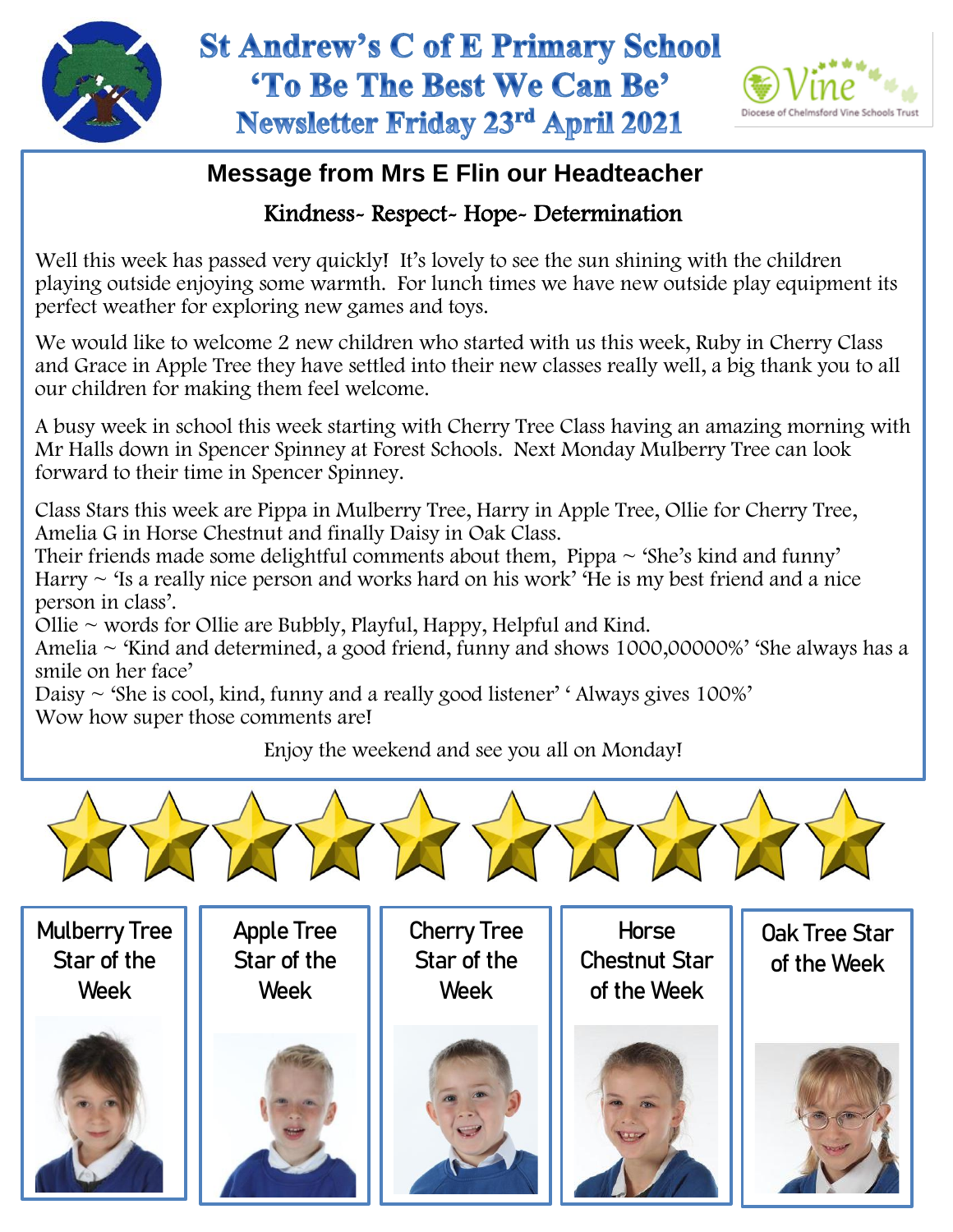



## **Message from Mrs E Flin our Headteacher**

## Kindness- Respect- Hope- Determination

Well this week has passed very quickly! It's lovely to see the sun shining with the children playing outside enjoying some warmth. For lunch times we have new outside play equipment its perfect weather for exploring new games and toys.

We would like to welcome 2 new children who started with us this week, Ruby in Cherry Class and Grace in Apple Tree they have settled into their new classes really well, a big thank you to all our children for making them feel welcome.

A busy week in school this week starting with Cherry Tree Class having an amazing morning with Mr Halls down in Spencer Spinney at Forest Schools. Next Monday Mulberry Tree can look forward to their time in Spencer Spinney.

Class Stars this week are Pippa in Mulberry Tree, Harry in Apple Tree, Ollie for Cherry Tree, Amelia G in Horse Chestnut and finally Daisy in Oak Class.

Harry  $\sim$  'Is a really nice person and works hard on his work' 'He is my best friend and a nice Their friends made some delightful comments about them, Pippa  $\sim$  'She's kind and funny' person in class'.

Ollie  $\sim$  words for Ollie are Bubbly, Playful, Happy, Helpful and Kind.

Amelia ~ 'Kind and determined, a good friend, funny and shows 1000,00000%' 'She always has a smile on her face'

Daisy  $\sim$  'She is cool, kind, funny and a really good listener'  $\cdot$  Always gives 100%' Wow how super those comments are!

Enjoy the weekend and see you all on Monday!